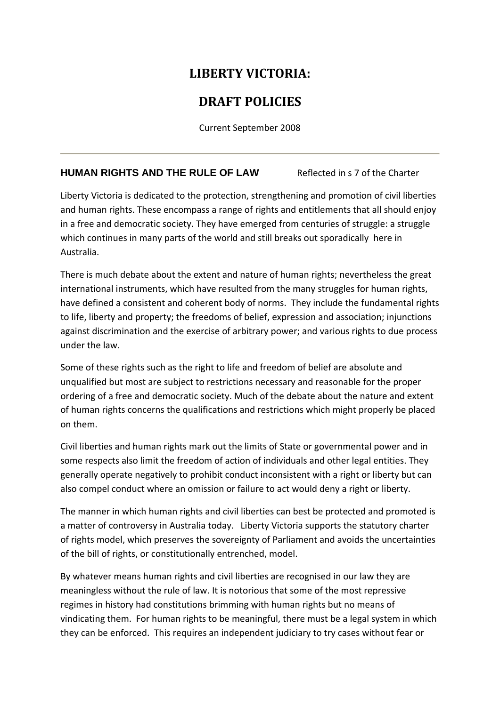# **LIBERTY VICTORIA:**

# **DRAFT POLICIES**

Current September 2008

## **HUMAN RIGHTS AND THE RULE OF LAW** Reflected in s 7 of the Charter

Liberty Victoria is dedicated to the protection, strengthening and promotion of civil liberties and human rights. These encompass a range of rights and entitlements that all should enjoy in a free and democratic society. They have emerged from centuries of struggle: a struggle which continues in many parts of the world and still breaks out sporadically here in Australia.

There is much debate about the extent and nature of human rights; nevertheless the great international instruments, which have resulted from the many struggles for human rights, have defined a consistent and coherent body of norms. They include the fundamental rights to life, liberty and property; the freedoms of belief, expression and association; injunctions against discrimination and the exercise of arbitrary power; and various rights to due process under the law.

Some of these rights such as the right to life and freedom of belief are absolute and unqualified but most are subject to restrictions necessary and reasonable for the proper ordering of a free and democratic society. Much of the debate about the nature and extent of human rights concerns the qualifications and restrictions which might properly be placed on them.

Civil liberties and human rights mark out the limits of State or governmental power and in some respects also limit the freedom of action of individuals and other legal entities. They generally operate negatively to prohibit conduct inconsistent with a right or liberty but can also compel conduct where an omission or failure to act would deny a right or liberty.

The manner in which human rights and civil liberties can best be protected and promoted is a matter of controversy in Australia today. Liberty Victoria supports the statutory charter of rights model, which preserves the sovereignty of Parliament and avoids the uncertainties of the bill of rights, or constitutionally entrenched, model.

By whatever means human rights and civil liberties are recognised in our law they are meaningless without the rule of law. It is notorious that some of the most repressive regimes in history had constitutions brimming with human rights but no means of vindicating them. For human rights to be meaningful, there must be a legal system in which they can be enforced. This requires an independent judiciary to try cases without fear or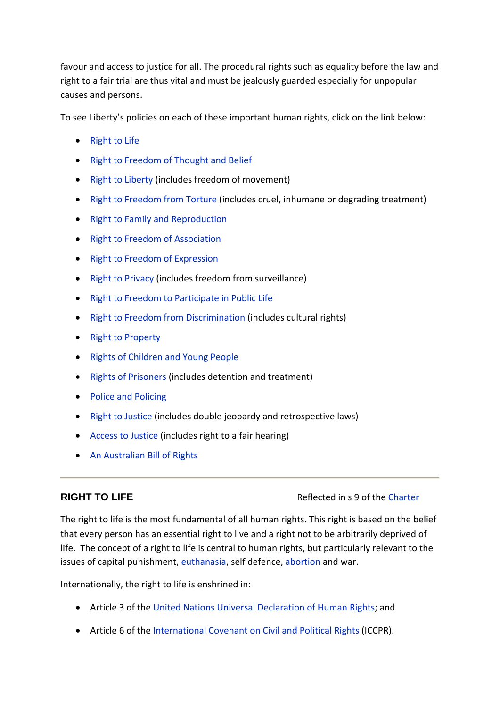favour and access to justice for all. The procedural rights such as equality before the law and right to a fair trial are thus vital and must be jealously guarded especially for unpopular causes and persons.

To see Liberty's policies on each of these important human rights, click on the link below:

- Right to Life
- Right to Freedom of Thought and Belief
- Right to Liberty (includes freedom of movement)
- Right to Freedom from Torture (includes cruel, inhumane or degrading treatment)
- Right to Family and Reproduction
- Right to Freedom of Association
- Right to Freedom of Expression
- Right to Privacy (includes freedom from surveillance)
- Right to Freedom to Participate in Public Life
- Right to Freedom from Discrimination (includes cultural rights)
- Right to Property
- Rights of Children and Young People
- Rights of Prisoners (includes detention and treatment)
- Police and Policing
- Right to Justice (includes double jeopardy and retrospective laws)
- Access to Justice (includes right to a fair hearing)
- An Australian Bill of Rights

#### **RIGHT TO LIFE Reflected in s 9 of the Charter**

The right to life is the most fundamental of all human rights. This right is based on the belief that every person has an essential right to live and a right not to be arbitrarily deprived of life. The concept of a right to life is central to human rights, but particularly relevant to the issues of capital punishment, euthanasia, self defence, abortion and war.

Internationally, the right to life is enshrined in:

- Article 3 of the United Nations Universal Declaration of Human Rights; and
- Article 6 of the International Covenant on Civil and Political Rights (ICCPR).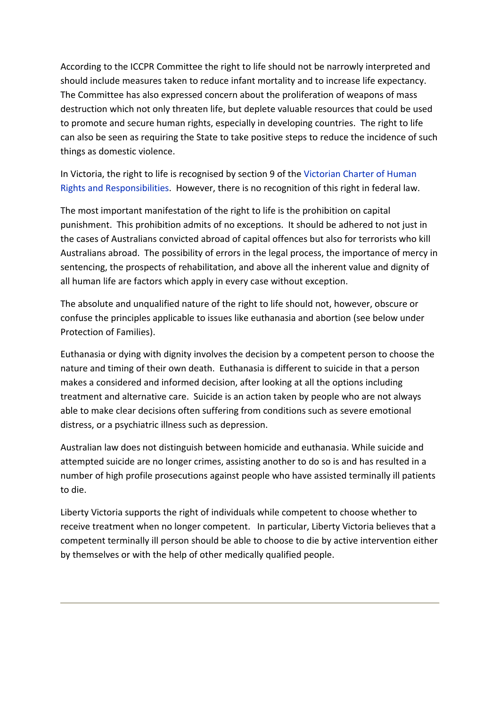According to the ICCPR Committee the right to life should not be narrowly interpreted and should include measures taken to reduce infant mortality and to increase life expectancy. The Committee has also expressed concern about the proliferation of weapons of mass destruction which not only threaten life, but deplete valuable resources that could be used to promote and secure human rights, especially in developing countries. The right to life can also be seen as requiring the State to take positive steps to reduce the incidence of such things as domestic violence.

In Victoria, the right to life is recognised by section 9 of the Victorian Charter of Human Rights and Responsibilities. However, there is no recognition of this right in federal law.

The most important manifestation of the right to life is the prohibition on capital punishment. This prohibition admits of no exceptions. It should be adhered to not just in the cases of Australians convicted abroad of capital offences but also for terrorists who kill Australians abroad. The possibility of errors in the legal process, the importance of mercy in sentencing, the prospects of rehabilitation, and above all the inherent value and dignity of all human life are factors which apply in every case without exception.

The absolute and unqualified nature of the right to life should not, however, obscure or confuse the principles applicable to issues like euthanasia and abortion (see below under Protection of Families).

Euthanasia or dying with dignity involves the decision by a competent person to choose the nature and timing of their own death. Euthanasia is different to suicide in that a person makes a considered and informed decision, after looking at all the options including treatment and alternative care. Suicide is an action taken by people who are not always able to make clear decisions often suffering from conditions such as severe emotional distress, or a psychiatric illness such as depression.

Australian law does not distinguish between homicide and euthanasia. While suicide and attempted suicide are no longer crimes, assisting another to do so is and has resulted in a number of high profile prosecutions against people who have assisted terminally ill patients to die.

Liberty Victoria supports the right of individuals while competent to choose whether to receive treatment when no longer competent. In particular, Liberty Victoria believes that a competent terminally ill person should be able to choose to die by active intervention either by themselves or with the help of other medically qualified people.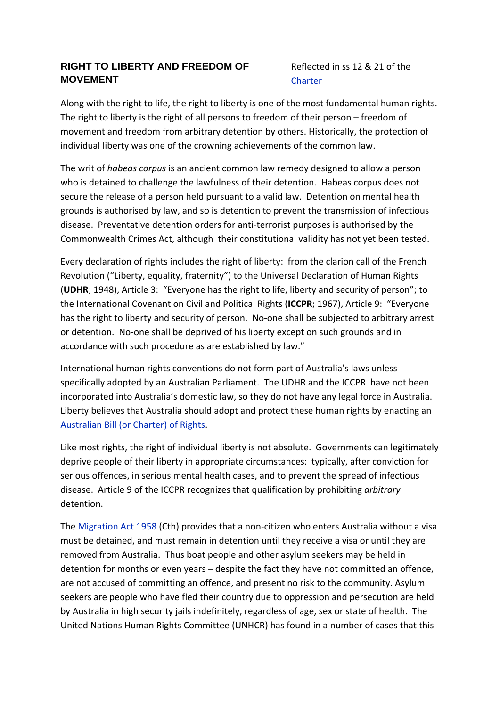### **RIGHT TO LIBERTY AND FREEDOM OF MOVEMENT**

### Reflected in ss 12 & 21 of the **Charter**

Along with the right to life, the right to liberty is one of the most fundamental human rights. The right to liberty is the right of all persons to freedom of their person – freedom of movement and freedom from arbitrary detention by others. Historically, the protection of individual liberty was one of the crowning achievements of the common law.

The writ of *habeas corpus* is an ancient common law remedy designed to allow a person who is detained to challenge the lawfulness of their detention. Habeas corpus does not secure the release of a person held pursuant to a valid law. Detention on mental health grounds is authorised by law, and so is detention to prevent the transmission of infectious disease. Preventative detention orders for anti‐terrorist purposes is authorised by the Commonwealth Crimes Act, although their constitutional validity has not yet been tested.

Every declaration of rights includes the right of liberty: from the clarion call of the French Revolution ("Liberty, equality, fraternity") to the Universal Declaration of Human Rights (**UDHR**; 1948), Article 3: "Everyone has the right to life, liberty and security of person"; to the International Covenant on Civil and Political Rights (**ICCPR**; 1967), Article 9: "Everyone has the right to liberty and security of person. No-one shall be subjected to arbitrary arrest or detention. No‐one shall be deprived of his liberty except on such grounds and in accordance with such procedure as are established by law."

International human rights conventions do not form part of Australia's laws unless specifically adopted by an Australian Parliament. The UDHR and the ICCPR have not been incorporated into Australia's domestic law, so they do not have any legal force in Australia. Liberty believes that Australia should adopt and protect these human rights by enacting an Australian Bill (or Charter) of Rights.

Like most rights, the right of individual liberty is not absolute. Governments can legitimately deprive people of their liberty in appropriate circumstances: typically, after conviction for serious offences, in serious mental health cases, and to prevent the spread of infectious disease. Article 9 of the ICCPR recognizes that qualification by prohibiting *arbitrary* detention.

The Migration Act 1958 (Cth) provides that a non‐citizen who enters Australia without a visa must be detained, and must remain in detention until they receive a visa or until they are removed from Australia. Thus boat people and other asylum seekers may be held in detention for months or even years – despite the fact they have not committed an offence, are not accused of committing an offence, and present no risk to the community. Asylum seekers are people who have fled their country due to oppression and persecution are held by Australia in high security jails indefinitely, regardless of age, sex or state of health. The United Nations Human Rights Committee (UNHCR) has found in a number of cases that this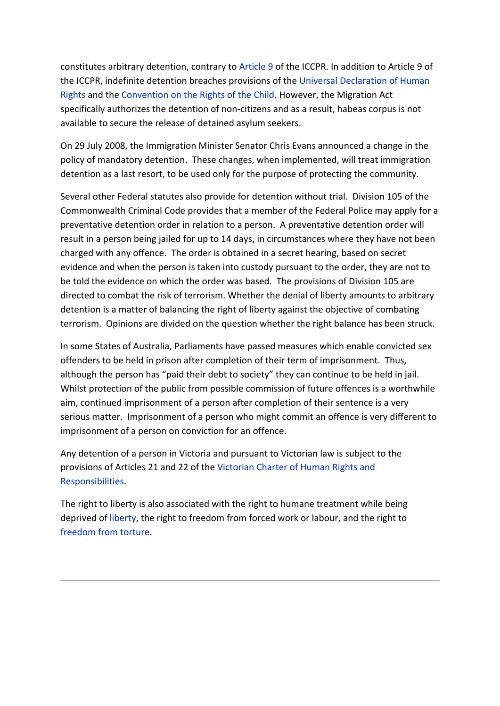constitutes arbitrary detention, contrary to Article 9 of the ICCPR. In addition to Article 9 of the ICCPR, indefinite detention breaches provisions of the Universal Declaration of Human Rights and the Convention on the Rights of the Child. However, the Migration Act specifically authorizes the detention of non‐citizens and as a result, habeas corpus is not available to secure the release of detained asylum seekers.

On 29 July 2008, the Immigration Minister Senator Chris Evans announced a change in the policy of mandatory detention. These changes, when implemented, will treat immigration detention as a last resort, to be used only for the purpose of protecting the community.

Several other Federal statutes also provide for detention without trial. Division 105 of the Commonwealth Criminal Code provides that a member of the Federal Police may apply for a preventative detention order in relation to a person. A preventative detention order will result in a person being jailed for up to 14 days, in circumstances where they have not been charged with any offence. The order is obtained in a secret hearing, based on secret evidence and when the person is taken into custody pursuant to the order, they are not to be told the evidence on which the order was based. The provisions of Division 105 are directed to combat the risk of terrorism. Whether the denial of liberty amounts to arbitrary detention is a matter of balancing the right of liberty against the objective of combating terrorism. Opinions are divided on the question whether the right balance has been struck.

In some States of Australia, Parliaments have passed measures which enable convicted sex offenders to be held in prison after completion of their term of imprisonment. Thus, although the person has "paid their debt to society" they can continue to be held in jail. Whilst protection of the public from possible commission of future offences is a worthwhile aim, continued imprisonment of a person after completion of their sentence is a very serious matter. Imprisonment of a person who might commit an offence is very different to imprisonment of a person on conviction for an offence.

Any detention of a person in Victoria and pursuant to Victorian law is subject to the provisions of Articles 21 and 22 of the Victorian Charter of Human Rights and Responsibilities.

The right to liberty is also associated with the right to humane treatment while being deprived of liberty, the right to freedom from forced work or labour, and the right to freedom from torture.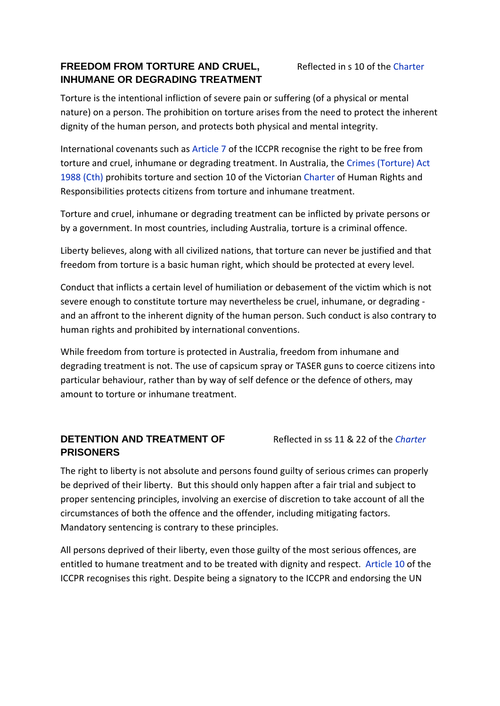### **FREEDOM FROM TORTURE AND CRUEL, INHUMANE OR DEGRADING TREATMENT**

Torture is the intentional infliction of severe pain or suffering (of a physical or mental nature) on a person. The prohibition on torture arises from the need to protect the inherent dignity of the human person, and protects both physical and mental integrity.

International covenants such as Article 7 of the ICCPR recognise the right to be free from torture and cruel, inhumane or degrading treatment. In Australia, the Crimes (Torture) Act 1988 (Cth) prohibits torture and section 10 of the Victorian Charter of Human Rights and Responsibilities protects citizens from torture and inhumane treatment.

Torture and cruel, inhumane or degrading treatment can be inflicted by private persons or by a government. In most countries, including Australia, torture is a criminal offence.

Liberty believes, along with all civilized nations, that torture can never be justified and that freedom from torture is a basic human right, which should be protected at every level.

Conduct that inflicts a certain level of humiliation or debasement of the victim which is not severe enough to constitute torture may nevertheless be cruel, inhumane, or degrading ‐ and an affront to the inherent dignity of the human person. Such conduct is also contrary to human rights and prohibited by international conventions.

While freedom from torture is protected in Australia, freedom from inhumane and degrading treatment is not. The use of capsicum spray or TASER guns to coerce citizens into particular behaviour, rather than by way of self defence or the defence of others, may amount to torture or inhumane treatment.

## **DETENTION AND TREATMENT OF PRISONERS**

Reflected in ss 11 & 22 of the *Charter*

The right to liberty is not absolute and persons found guilty of serious crimes can properly be deprived of their liberty. But this should only happen after a fair trial and subject to proper sentencing principles, involving an exercise of discretion to take account of all the circumstances of both the offence and the offender, including mitigating factors. Mandatory sentencing is contrary to these principles.

All persons deprived of their liberty, even those guilty of the most serious offences, are entitled to humane treatment and to be treated with dignity and respect. Article 10 of the ICCPR recognises this right. Despite being a signatory to the ICCPR and endorsing the UN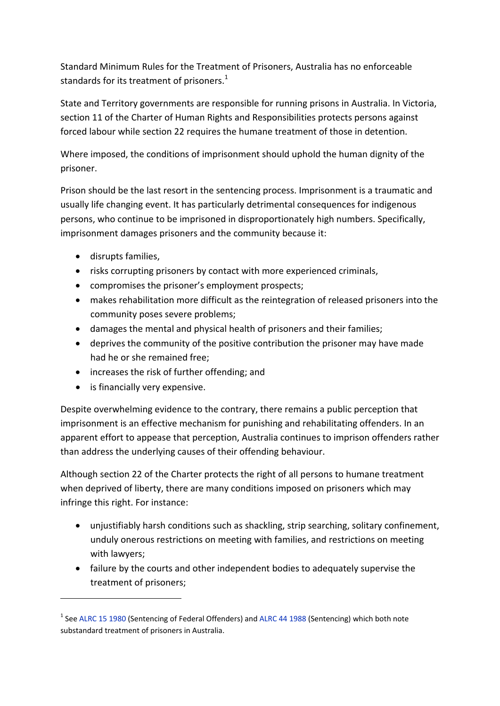Standard Minimum Rules for the Treatment of Prisoners, Australia has no enforceable standards for its treatment of prisoners. $1$ 

State and Territory governments are responsible for running prisons in Australia. In Victoria, section 11 of the Charter of Human Rights and Responsibilities protects persons against forced labour while section 22 requires the humane treatment of those in detention.

Where imposed, the conditions of imprisonment should uphold the human dignity of the prisoner.

Prison should be the last resort in the sentencing process. Imprisonment is a traumatic and usually life changing event. It has particularly detrimental consequences for indigenous persons, who continue to be imprisoned in disproportionately high numbers. Specifically, imprisonment damages prisoners and the community because it:

- disrupts families,
- risks corrupting prisoners by contact with more experienced criminals,
- compromises the prisoner's employment prospects;
- makes rehabilitation more difficult as the reintegration of released prisoners into the community poses severe problems;
- damages the mental and physical health of prisoners and their families;
- deprives the community of the positive contribution the prisoner may have made had he or she remained free;
- increases the risk of further offending; and
- is financially very expensive.

Despite overwhelming evidence to the contrary, there remains a public perception that imprisonment is an effective mechanism for punishing and rehabilitating offenders. In an apparent effort to appease that perception, Australia continues to imprison offenders rather than address the underlying causes of their offending behaviour.

Although section 22 of the Charter protects the right of all persons to humane treatment when deprived of liberty, there are many conditions imposed on prisoners which may infringe this right. For instance:

- unjustifiably harsh conditions such as shackling, strip searching, solitary confinement, unduly onerous restrictions on meeting with families, and restrictions on meeting with lawyers;
- failure by the courts and other independent bodies to adequately supervise the treatment of prisoners;

<sup>&</sup>lt;sup>1</sup> See ALRC 15 1980 (Sentencing of Federal Offenders) and ALRC 44 1988 (Sentencing) which both note substandard treatment of prisoners in Australia.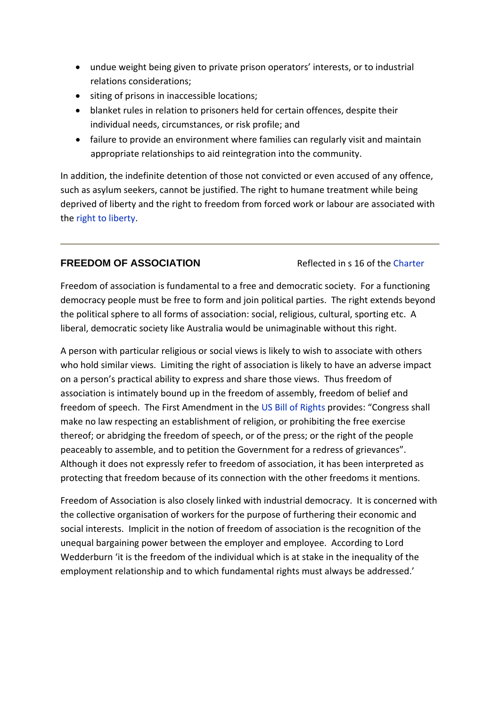- undue weight being given to private prison operators' interests, or to industrial relations considerations;
- siting of prisons in inaccessible locations;
- blanket rules in relation to prisoners held for certain offences, despite their individual needs, circumstances, or risk profile; and
- failure to provide an environment where families can regularly visit and maintain appropriate relationships to aid reintegration into the community.

In addition, the indefinite detention of those not convicted or even accused of any offence, such as asylum seekers, cannot be justified. The right to humane treatment while being deprived of liberty and the right to freedom from forced work or labour are associated with the right to liberty.

#### **FREEDOM OF ASSOCIATION Reflected in s 16 of the Charter**

Freedom of association is fundamental to a free and democratic society. For a functioning democracy people must be free to form and join political parties. The right extends beyond the political sphere to all forms of association: social, religious, cultural, sporting etc. A liberal, democratic society like Australia would be unimaginable without this right.

A person with particular religious or social views is likely to wish to associate with others who hold similar views. Limiting the right of association is likely to have an adverse impact on a person's practical ability to express and share those views. Thus freedom of association is intimately bound up in the freedom of assembly, freedom of belief and freedom of speech. The First Amendment in the US Bill of Rights provides: "Congress shall make no law respecting an establishment of religion, or prohibiting the free exercise thereof; or abridging the freedom of speech, or of the press; or the right of the people peaceably to assemble, and to petition the Government for a redress of grievances". Although it does not expressly refer to freedom of association, it has been interpreted as protecting that freedom because of its connection with the other freedoms it mentions.

Freedom of Association is also closely linked with industrial democracy. It is concerned with the collective organisation of workers for the purpose of furthering their economic and social interests. Implicit in the notion of freedom of association is the recognition of the unequal bargaining power between the employer and employee. According to Lord Wedderburn 'it is the freedom of the individual which is at stake in the inequality of the employment relationship and to which fundamental rights must always be addressed.'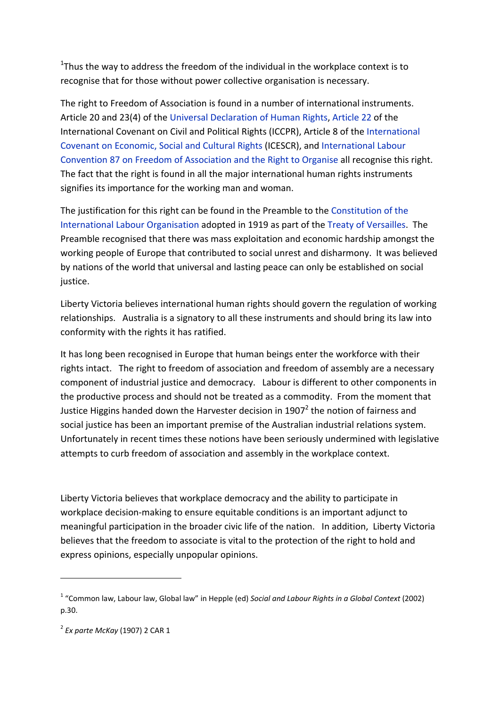$1$ Thus the way to address the freedom of the individual in the workplace context is to recognise that for those without power collective organisation is necessary.

The right to Freedom of Association is found in a number of international instruments. Article 20 and 23(4) of the Universal Declaration of Human Rights, Article 22 of the International Covenant on Civil and Political Rights (ICCPR), Article 8 of the International Covenant on Economic, Social and Cultural Rights (ICESCR), and International Labour Convention 87 on Freedom of Association and the Right to Organise all recognise this right. The fact that the right is found in all the major international human rights instruments signifies its importance for the working man and woman.

The justification for this right can be found in the Preamble to the Constitution of the International Labour Organisation adopted in 1919 as part of the Treaty of Versailles. The Preamble recognised that there was mass exploitation and economic hardship amongst the working people of Europe that contributed to social unrest and disharmony. It was believed by nations of the world that universal and lasting peace can only be established on social justice.

Liberty Victoria believes international human rights should govern the regulation of working relationships. Australia is a signatory to all these instruments and should bring its law into conformity with the rights it has ratified.

It has long been recognised in Europe that human beings enter the workforce with their rights intact. The right to freedom of association and freedom of assembly are a necessary component of industrial justice and democracy. Labour is different to other components in the productive process and should not be treated as a commodity. From the moment that Justice Higgins handed down the Harvester decision in 1907 $^2$  the notion of fairness and social justice has been an important premise of the Australian industrial relations system. Unfortunately in recent times these notions have been seriously undermined with legislative attempts to curb freedom of association and assembly in the workplace context.

Liberty Victoria believes that workplace democracy and the ability to participate in workplace decision‐making to ensure equitable conditions is an important adjunct to meaningful participation in the broader civic life of the nation. In addition, Liberty Victoria believes that the freedom to associate is vital to the protection of the right to hold and express opinions, especially unpopular opinions.

<sup>1</sup> "Common law, Labour law, Global law" in Hepple (ed) *Social and Labour Rights in a Global Context* (2002) p.30.

<sup>2</sup> *Ex parte McKay* (1907) 2 CAR 1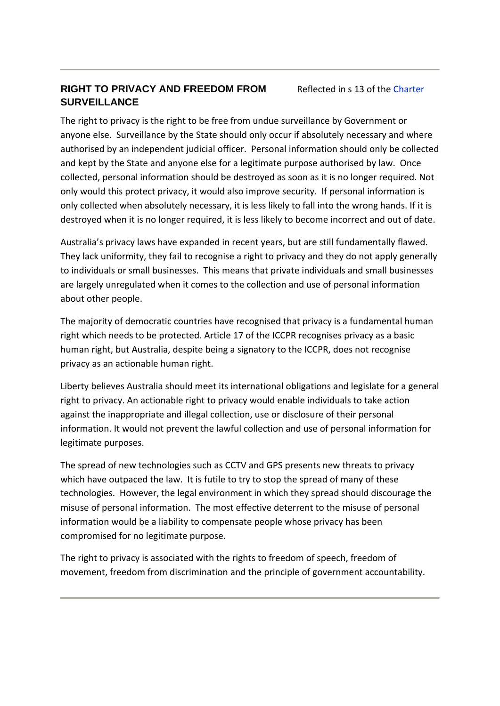### **RIGHT TO PRIVACY AND FREEDOM FROM SURVEILLANCE**

Reflected in s 13 of the Charter

The right to privacy is the right to be free from undue surveillance by Government or anyone else. Surveillance by the State should only occur if absolutely necessary and where authorised by an independent judicial officer. Personal information should only be collected and kept by the State and anyone else for a legitimate purpose authorised by law. Once collected, personal information should be destroyed as soon as it is no longer required. Not only would this protect privacy, it would also improve security. If personal information is only collected when absolutely necessary, it is less likely to fall into the wrong hands. If it is destroyed when it is no longer required, it is less likely to become incorrect and out of date.

Australia's privacy laws have expanded in recent years, but are still fundamentally flawed. They lack uniformity, they fail to recognise a right to privacy and they do not apply generally to individuals or small businesses. This means that private individuals and small businesses are largely unregulated when it comes to the collection and use of personal information about other people.

The majority of democratic countries have recognised that privacy is a fundamental human right which needs to be protected. Article 17 of the ICCPR recognises privacy as a basic human right, but Australia, despite being a signatory to the ICCPR, does not recognise privacy as an actionable human right.

Liberty believes Australia should meet its international obligations and legislate for a general right to privacy. An actionable right to privacy would enable individuals to take action against the inappropriate and illegal collection, use or disclosure of their personal information. It would not prevent the lawful collection and use of personal information for legitimate purposes.

The spread of new technologies such as CCTV and GPS presents new threats to privacy which have outpaced the law. It is futile to try to stop the spread of many of these technologies. However, the legal environment in which they spread should discourage the misuse of personal information. The most effective deterrent to the misuse of personal information would be a liability to compensate people whose privacy has been compromised for no legitimate purpose.

The right to privacy is associated with the rights to freedom of speech, freedom of movement, freedom from discrimination and the principle of government accountability.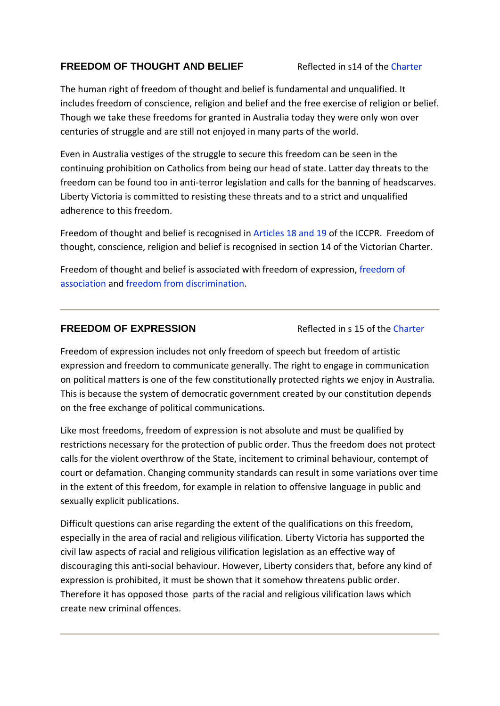### **FREEDOM OF THOUGHT AND BELIEF** Reflected in s14 of the Charter

The human right of freedom of thought and belief is fundamental and unqualified. It includes freedom of conscience, religion and belief and the free exercise of religion or belief. Though we take these freedoms for granted in Australia today they were only won over centuries of struggle and are still not enjoyed in many parts of the world.

Even in Australia vestiges of the struggle to secure this freedom can be seen in the continuing prohibition on Catholics from being our head of state. Latter day threats to the freedom can be found too in anti-terror legislation and calls for the banning of headscarves. Liberty Victoria is committed to resisting these threats and to a strict and unqualified adherence to this freedom.

Freedom of thought and belief is recognised in Articles 18 and 19 of the ICCPR. Freedom of thought, conscience, religion and belief is recognised in section 14 of the Victorian Charter.

Freedom of thought and belief is associated with freedom of expression, freedom of association and freedom from discrimination.

#### **FREEDOM OF EXPRESSION Reflected in s 15 of the Charter**

Freedom of expression includes not only freedom of speech but freedom of artistic expression and freedom to communicate generally. The right to engage in communication on political matters is one of the few constitutionally protected rights we enjoy in Australia. This is because the system of democratic government created by our constitution depends on the free exchange of political communications.

Like most freedoms, freedom of expression is not absolute and must be qualified by restrictions necessary for the protection of public order. Thus the freedom does not protect calls for the violent overthrow of the State, incitement to criminal behaviour, contempt of court or defamation. Changing community standards can result in some variations over time in the extent of this freedom, for example in relation to offensive language in public and sexually explicit publications.

Difficult questions can arise regarding the extent of the qualifications on this freedom, especially in the area of racial and religious vilification. Liberty Victoria has supported the civil law aspects of racial and religious vilification legislation as an effective way of discouraging this anti‐social behaviour. However, Liberty considers that, before any kind of expression is prohibited, it must be shown that it somehow threatens public order. Therefore it has opposed those parts of the racial and religious vilification laws which create new criminal offences.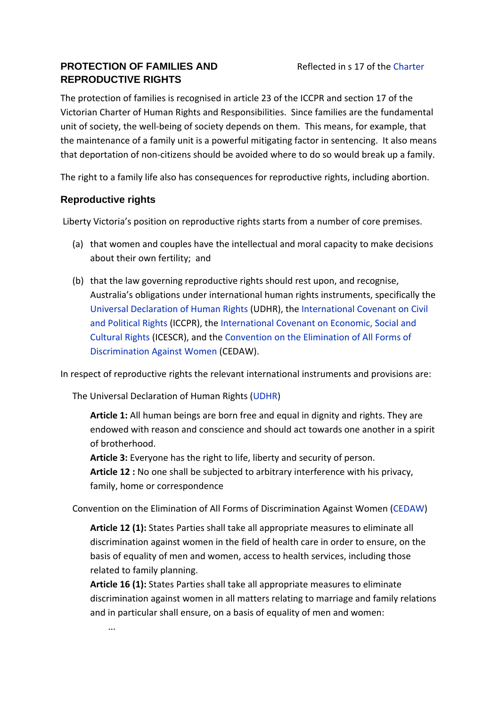## **PROTECTION OF FAMILIES AND REPRODUCTIVE RIGHTS**

The protection of families is recognised in article 23 of the ICCPR and section 17 of the Victorian Charter of Human Rights and Responsibilities. Since families are the fundamental unit of society, the well-being of society depends on them. This means, for example, that the maintenance of a family unit is a powerful mitigating factor in sentencing. It also means that deportation of non‐citizens should be avoided where to do so would break up a family.

The right to a family life also has consequences for reproductive rights, including abortion.

### **Reproductive rights**

Liberty Victoria's position on reproductive rights starts from a number of core premises.

- (a) that women and couples have the intellectual and moral capacity to make decisions about their own fertility; and
- (b) that the law governing reproductive rights should rest upon, and recognise, Australia's obligations under international human rights instruments, specifically the Universal Declaration of Human Rights (UDHR), the International Covenant on Civil and Political Rights (ICCPR), the International Covenant on Economic, Social and Cultural Rights (ICESCR), and the Convention on the Elimination of All Forms of Discrimination Against Women (CEDAW).

In respect of reproductive rights the relevant international instruments and provisions are:

The Universal Declaration of Human Rights (UDHR)

**Article 1:** All human beings are born free and equal in dignity and rights. They are endowed with reason and conscience and should act towards one another in a spirit of brotherhood.

**Article 3:** Everyone has the right to life, liberty and security of person.

**Article 12 :** No one shall be subjected to arbitrary interference with his privacy, family, home or correspondence

Convention on the Elimination of All Forms of Discrimination Against Women (CEDAW)

**Article 12 (1):** States Parties shall take all appropriate measures to eliminate all discrimination against women in the field of health care in order to ensure, on the basis of equality of men and women, access to health services, including those related to family planning.

**Article 16 (1):** States Parties shall take all appropriate measures to eliminate discrimination against women in all matters relating to marriage and family relations and in particular shall ensure, on a basis of equality of men and women:

...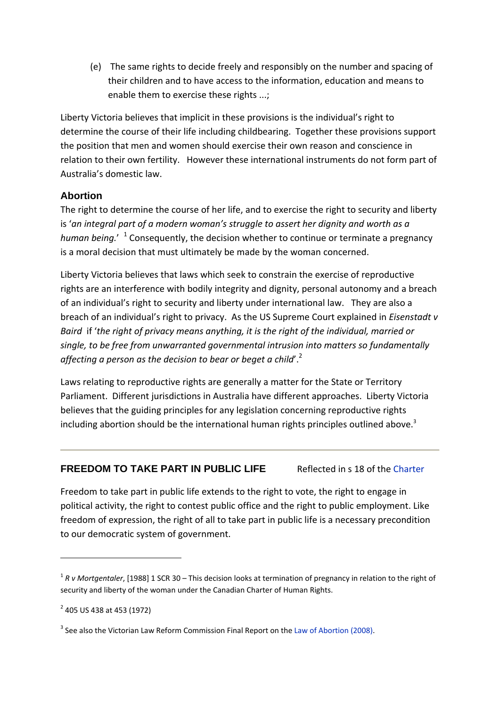(e) The same rights to decide freely and responsibly on the number and spacing of their children and to have access to the information, education and means to enable them to exercise these rights ...;

Liberty Victoria believes that implicit in these provisions is the individual's right to determine the course of their life including childbearing. Together these provisions support the position that men and women should exercise their own reason and conscience in relation to their own fertility. However these international instruments do not form part of Australia's domestic law.

#### **Abortion**

The right to determine the course of her life, and to exercise the right to security and liberty is '*an integral part of a modern woman's struggle to assert her dignity and worth as a human being.*' <sup>1</sup> Consequently, the decision whether to continue or terminate a pregnancy is a moral decision that must ultimately be made by the woman concerned.

Liberty Victoria believes that laws which seek to constrain the exercise of reproductive rights are an interference with bodily integrity and dignity, personal autonomy and a breach of an individual's right to security and liberty under international law. They are also a breach of an individual's right to privacy. As the US Supreme Court explained in *Eisenstadt v Baird* if '*the right of privacy means anything, it is the right of the individual, married or single, to be free from unwarranted governmental intrusion into matters so fundamentally affecting a person as the decision to bear or beget a child*'.2

Laws relating to reproductive rights are generally a matter for the State or Territory Parliament. Different jurisdictions in Australia have different approaches. Liberty Victoria believes that the guiding principles for any legislation concerning reproductive rights including abortion should be the international human rights principles outlined above. $3$ 

#### **FREEDOM TO TAKE PART IN PUBLIC LIFE** Reflected in s 18 of the Charter

Freedom to take part in public life extends to the right to vote, the right to engage in political activity, the right to contest public office and the right to public employment. Like freedom of expression, the right of all to take part in public life is a necessary precondition to our democratic system of government.

<sup>1</sup> *R v Mortgentaler*, [1988] 1 SCR 30 – This decision looks at termination of pregnancy in relation to the right of security and liberty of the woman under the Canadian Charter of Human Rights.

<sup>2</sup> 405 US 438 at 453 (1972)

 $3$  See also the Victorian Law Reform Commission Final Report on the Law of Abortion (2008).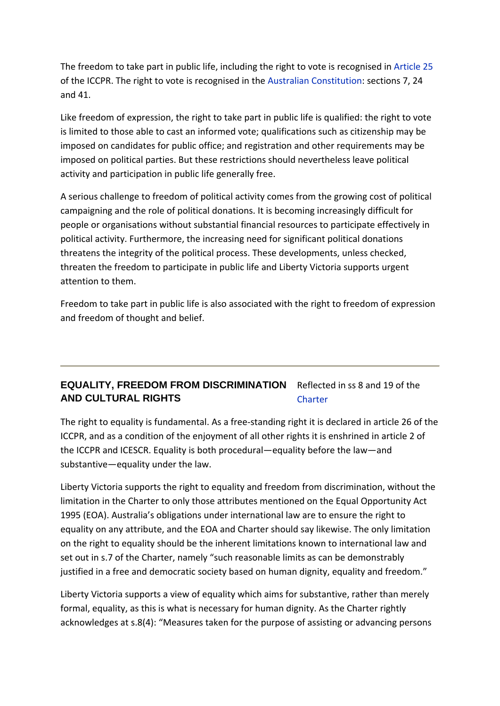The freedom to take part in public life, including the right to vote is recognised in Article 25 of the ICCPR. The right to vote is recognised in the Australian Constitution: sections 7, 24 and 41.

Like freedom of expression, the right to take part in public life is qualified: the right to vote is limited to those able to cast an informed vote; qualifications such as citizenship may be imposed on candidates for public office; and registration and other requirements may be imposed on political parties. But these restrictions should nevertheless leave political activity and participation in public life generally free.

A serious challenge to freedom of political activity comes from the growing cost of political campaigning and the role of political donations. It is becoming increasingly difficult for people or organisations without substantial financial resources to participate effectively in political activity. Furthermore, the increasing need for significant political donations threatens the integrity of the political process. These developments, unless checked, threaten the freedom to participate in public life and Liberty Victoria supports urgent attention to them.

Freedom to take part in public life is also associated with the right to freedom of expression and freedom of thought and belief.

#### **EQUALITY, FREEDOM FROM DISCRIMINATION**  Reflected in ss 8 and 19 of the **AND CULTURAL RIGHTS Charter**

The right to equality is fundamental. As a free‐standing right it is declared in article 26 of the ICCPR, and as a condition of the enjoyment of all other rights it is enshrined in article 2 of the ICCPR and ICESCR. Equality is both procedural—equality before the law—and substantive—equality under the law.

Liberty Victoria supports the right to equality and freedom from discrimination, without the limitation in the Charter to only those attributes mentioned on the Equal Opportunity Act 1995 (EOA). Australia's obligations under international law are to ensure the right to equality on any attribute, and the EOA and Charter should say likewise. The only limitation on the right to equality should be the inherent limitations known to international law and set out in s.7 of the Charter, namely "such reasonable limits as can be demonstrably justified in a free and democratic society based on human dignity, equality and freedom."

Liberty Victoria supports a view of equality which aims for substantive, rather than merely formal, equality, as this is what is necessary for human dignity. As the Charter rightly acknowledges at s.8(4): "Measures taken for the purpose of assisting or advancing persons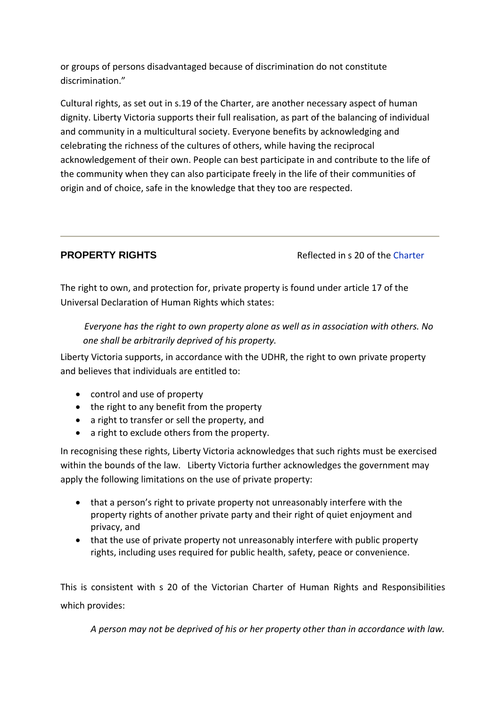or groups of persons disadvantaged because of discrimination do not constitute discrimination."

Cultural rights, as set out in s.19 of the Charter, are another necessary aspect of human dignity. Liberty Victoria supports their full realisation, as part of the balancing of individual and community in a multicultural society. Everyone benefits by acknowledging and celebrating the richness of the cultures of others, while having the reciprocal acknowledgement of their own. People can best participate in and contribute to the life of the community when they can also participate freely in the life of their communities of origin and of choice, safe in the knowledge that they too are respected.

**PROPERTY RIGHTS** Reflected in s 20 of the Charter

The right to own, and protection for, private property is found under article 17 of the Universal Declaration of Human Rights which states:

*Everyone has the right to own property alone as well as in association with others. No one shall be arbitrarily deprived of his property.*

Liberty Victoria supports, in accordance with the UDHR, the right to own private property and believes that individuals are entitled to:

- control and use of property
- the right to any benefit from the property
- a right to transfer or sell the property, and
- a right to exclude others from the property.

In recognising these rights, Liberty Victoria acknowledges that such rights must be exercised within the bounds of the law. Liberty Victoria further acknowledges the government may apply the following limitations on the use of private property:

- that a person's right to private property not unreasonably interfere with the property rights of another private party and their right of quiet enjoyment and privacy, and
- that the use of private property not unreasonably interfere with public property rights, including uses required for public health, safety, peace or convenience.

This is consistent with s 20 of the Victorian Charter of Human Rights and Responsibilities which provides:

*A person may not be deprived of his or her property other than in accordance with law.*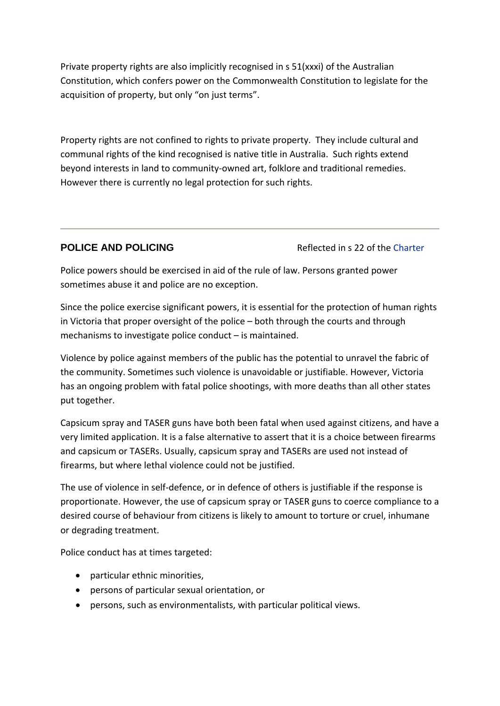Private property rights are also implicitly recognised in s 51(xxxi) of the Australian Constitution, which confers power on the Commonwealth Constitution to legislate for the acquisition of property, but only "on just terms".

Property rights are not confined to rights to private property. They include cultural and communal rights of the kind recognised is native title in Australia. Such rights extend beyond interests in land to community‐owned art, folklore and traditional remedies. However there is currently no legal protection for such rights.

**POLICE AND POLICING Reflected in s 22 of the Charter** 

Police powers should be exercised in aid of the rule of law. Persons granted power sometimes abuse it and police are no exception.

Since the police exercise significant powers, it is essential for the protection of human rights in Victoria that proper oversight of the police – both through the courts and through mechanisms to investigate police conduct – is maintained.

Violence by police against members of the public has the potential to unravel the fabric of the community. Sometimes such violence is unavoidable or justifiable. However, Victoria has an ongoing problem with fatal police shootings, with more deaths than all other states put together.

Capsicum spray and TASER guns have both been fatal when used against citizens, and have a very limited application. It is a false alternative to assert that it is a choice between firearms and capsicum or TASERs. Usually, capsicum spray and TASERs are used not instead of firearms, but where lethal violence could not be justified.

The use of violence in self-defence, or in defence of others is justifiable if the response is proportionate. However, the use of capsicum spray or TASER guns to coerce compliance to a desired course of behaviour from citizens is likely to amount to torture or cruel, inhumane or degrading treatment.

Police conduct has at times targeted:

- particular ethnic minorities,
- persons of particular sexual orientation, or
- persons, such as environmentalists, with particular political views.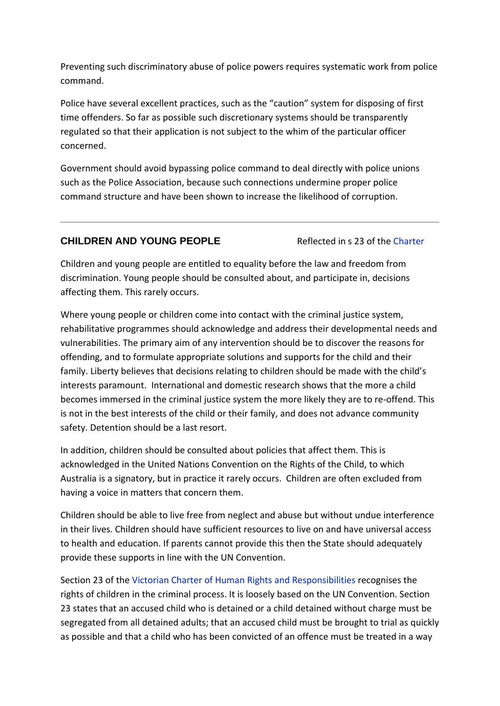Preventing such discriminatory abuse of police powers requires systematic work from police command.

Police have several excellent practices, such as the "caution" system for disposing of first time offenders. So far as possible such discretionary systems should be transparently regulated so that their application is not subject to the whim of the particular officer concerned.

Government should avoid bypassing police command to deal directly with police unions such as the Police Association, because such connections undermine proper police command structure and have been shown to increase the likelihood of corruption.

#### **CHILDREN AND YOUNG PEOPLE** Reflected in s 23 of the Charter

Children and young people are entitled to equality before the law and freedom from discrimination. Young people should be consulted about, and participate in, decisions affecting them. This rarely occurs.

Where young people or children come into contact with the criminal justice system, rehabilitative programmes should acknowledge and address their developmental needs and vulnerabilities. The primary aim of any intervention should be to discover the reasons for offending, and to formulate appropriate solutions and supports for the child and their family. Liberty believes that decisions relating to children should be made with the child's interests paramount. International and domestic research shows that the more a child becomes immersed in the criminal justice system the more likely they are to re-offend. This is not in the best interests of the child or their family, and does not advance community safety. Detention should be a last resort.

In addition, children should be consulted about policies that affect them. This is acknowledged in the United Nations Convention on the Rights of the Child, to which Australia is a signatory, but in practice it rarely occurs. Children are often excluded from having a voice in matters that concern them.

Children should be able to live free from neglect and abuse but without undue interference in their lives. Children should have sufficient resources to live on and have universal access to health and education. If parents cannot provide this then the State should adequately provide these supports in line with the UN Convention.

Section 23 of the Victorian Charter of Human Rights and Responsibilities recognises the rights of children in the criminal process. It is loosely based on the UN Convention. Section 23 states that an accused child who is detained or a child detained without charge must be segregated from all detained adults; that an accused child must be brought to trial as quickly as possible and that a child who has been convicted of an offence must be treated in a way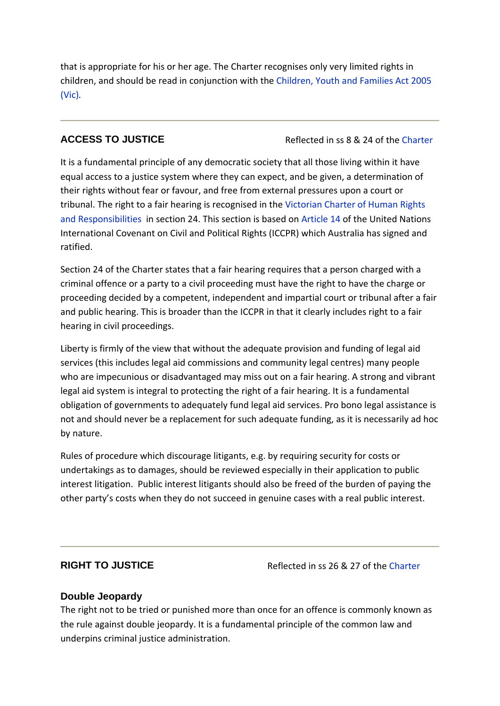that is appropriate for his or her age. The Charter recognises only very limited rights in children, and should be read in conjunction with the Children, Youth and Families Act 2005 (Vic)*.*

**ACCESS TO JUSTICE** Reflected in ss 8 & 24 of the Charter

It is a fundamental principle of any democratic society that all those living within it have equal access to a justice system where they can expect, and be given, a determination of their rights without fear or favour, and free from external pressures upon a court or tribunal. The right to a fair hearing is recognised in the Victorian Charter of Human Rights and Responsibilities in section 24. This section is based on Article 14 of the United Nations International Covenant on Civil and Political Rights (ICCPR) which Australia has signed and ratified.

Section 24 of the Charter states that a fair hearing requires that a person charged with a criminal offence or a party to a civil proceeding must have the right to have the charge or proceeding decided by a competent, independent and impartial court or tribunal after a fair and public hearing. This is broader than the ICCPR in that it clearly includes right to a fair hearing in civil proceedings.

Liberty is firmly of the view that without the adequate provision and funding of legal aid services (this includes legal aid commissions and community legal centres) many people who are impecunious or disadvantaged may miss out on a fair hearing. A strong and vibrant legal aid system is integral to protecting the right of a fair hearing. It is a fundamental obligation of governments to adequately fund legal aid services. Pro bono legal assistance is not and should never be a replacement for such adequate funding, as it is necessarily ad hoc by nature.

Rules of procedure which discourage litigants, e.g. by requiring security for costs or undertakings as to damages, should be reviewed especially in their application to public interest litigation. Public interest litigants should also be freed of the burden of paying the other party's costs when they do not succeed in genuine cases with a real public interest.

**RIGHT TO JUSTICE** Reflected in ss 26 & 27 of the Charter

#### **Double Jeopardy**

The right not to be tried or punished more than once for an offence is commonly known as the rule against double jeopardy. It is a fundamental principle of the common law and underpins criminal justice administration.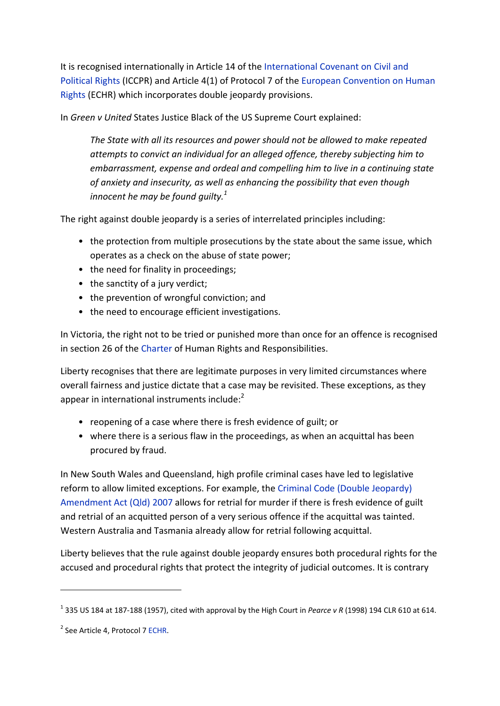It is recognised internationally in Article 14 of the International Covenant on Civil and Political Rights (ICCPR) and Article 4(1) of Protocol 7 of the European Convention on Human Rights (ECHR) which incorporates double jeopardy provisions.

In *Green v United* States Justice Black of the US Supreme Court explained:

*The State with all its resources and power should not be allowed to make repeated attempts to convict an individual for an alleged offence, thereby subjecting him to embarrassment, expense and ordeal and compelling him to live in a continuing state of anxiety and insecurity, as well as enhancing the possibility that even though innocent he may be found guilty.<sup>1</sup>*

The right against double jeopardy is a series of interrelated principles including:

- the protection from multiple prosecutions by the state about the same issue, which operates as a check on the abuse of state power;
- the need for finality in proceedings;
- the sanctity of a jury verdict;
- the prevention of wrongful conviction; and
- the need to encourage efficient investigations.

In Victoria, the right not to be tried or punished more than once for an offence is recognised in section 26 of the Charter of Human Rights and Responsibilities.

Liberty recognises that there are legitimate purposes in very limited circumstances where overall fairness and justice dictate that a case may be revisited. These exceptions, as they appear in international instruments include: $2$ 

- reopening of a case where there is fresh evidence of guilt; or
- where there is a serious flaw in the proceedings, as when an acquittal has been procured by fraud.

In New South Wales and Queensland, high profile criminal cases have led to legislative reform to allow limited exceptions. For example, the Criminal Code (Double Jeopardy) Amendment Act (Qld) 2007 allows for retrial for murder if there is fresh evidence of guilt and retrial of an acquitted person of a very serious offence if the acquittal was tainted. Western Australia and Tasmania already allow for retrial following acquittal.

Liberty believes that the rule against double jeopardy ensures both procedural rights for the accused and procedural rights that protect the integrity of judicial outcomes. It is contrary

<sup>1</sup> 335 US 184 at 187‐188 (1957), cited with approval by the High Court in *Pearce v R* (1998) 194 CLR 610 at 614.

<sup>2</sup> See Article 4, Protocol 7 ECHR.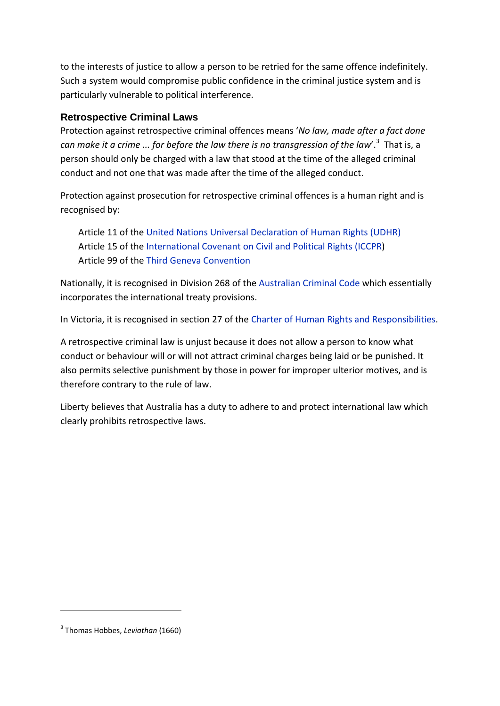to the interests of justice to allow a person to be retried for the same offence indefinitely. Such a system would compromise public confidence in the criminal justice system and is particularly vulnerable to political interference.

#### **Retrospective Criminal Laws**

Protection against retrospective criminal offences means '*No law, made after a fact done can make it a crime ... for before the law there is no transgression of the law*'.3 That is, a person should only be charged with a law that stood at the time of the alleged criminal conduct and not one that was made after the time of the alleged conduct.

Protection against prosecution for retrospective criminal offences is a human right and is recognised by:

Article 11 of the United Nations Universal Declaration of Human Rights (UDHR) Article 15 of the International Covenant on Civil and Political Rights (ICCPR) Article 99 of the Third Geneva Convention

Nationally, it is recognised in Division 268 of the Australian Criminal Code which essentially incorporates the international treaty provisions.

In Victoria, it is recognised in section 27 of the Charter of Human Rights and Responsibilities.

A retrospective criminal law is unjust because it does not allow a person to know what conduct or behaviour will or will not attract criminal charges being laid or be punished. It also permits selective punishment by those in power for improper ulterior motives, and is therefore contrary to the rule of law.

Liberty believes that Australia has a duty to adhere to and protect international law which clearly prohibits retrospective laws.

<sup>3</sup> Thomas Hobbes, *Leviathan* (1660)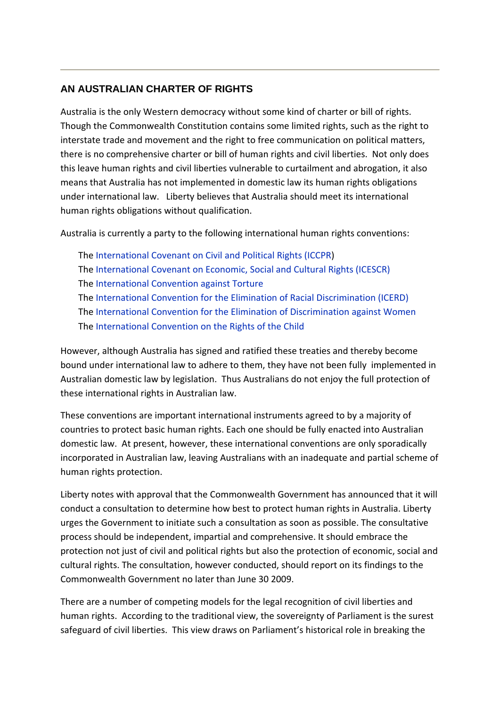#### **AN AUSTRALIAN CHARTER OF RIGHTS**

Australia is the only Western democracy without some kind of charter or bill of rights. Though the Commonwealth Constitution contains some limited rights, such as the right to interstate trade and movement and the right to free communication on political matters, there is no comprehensive charter or bill of human rights and civil liberties. Not only does this leave human rights and civil liberties vulnerable to curtailment and abrogation, it also means that Australia has not implemented in domestic law its human rights obligations under international law. Liberty believes that Australia should meet its international human rights obligations without qualification.

Australia is currently a party to the following international human rights conventions:

The International Covenant on Civil and Political Rights (ICCPR) The International Covenant on Economic, Social and Cultural Rights (ICESCR) The International Convention against Torture The International Convention for the Elimination of Racial Discrimination (ICERD) The International Convention for the Elimination of Discrimination against Women The International Convention on the Rights of the Child

However, although Australia has signed and ratified these treaties and thereby become bound under international law to adhere to them, they have not been fully implemented in Australian domestic law by legislation. Thus Australians do not enjoy the full protection of these international rights in Australian law.

These conventions are important international instruments agreed to by a majority of countries to protect basic human rights. Each one should be fully enacted into Australian domestic law. At present, however, these international conventions are only sporadically incorporated in Australian law, leaving Australians with an inadequate and partial scheme of human rights protection.

Liberty notes with approval that the Commonwealth Government has announced that it will conduct a consultation to determine how best to protect human rights in Australia. Liberty urges the Government to initiate such a consultation as soon as possible. The consultative process should be independent, impartial and comprehensive. It should embrace the protection not just of civil and political rights but also the protection of economic, social and cultural rights. The consultation, however conducted, should report on its findings to the Commonwealth Government no later than June 30 2009.

There are a number of competing models for the legal recognition of civil liberties and human rights. According to the traditional view, the sovereignty of Parliament is the surest safeguard of civil liberties. This view draws on Parliament's historical role in breaking the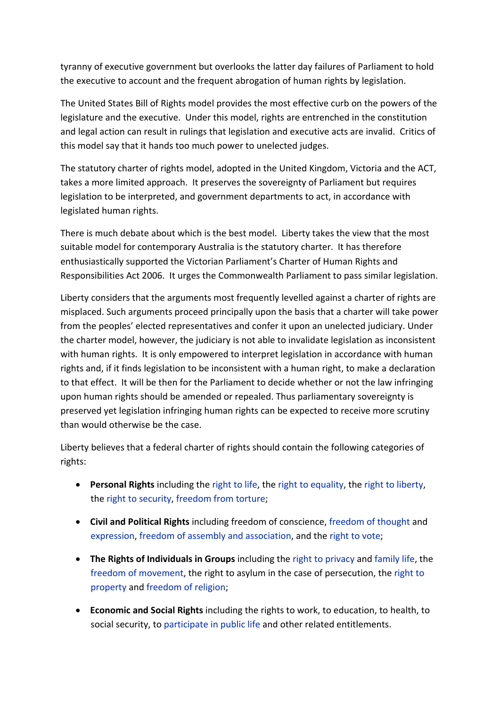tyranny of executive government but overlooks the latter day failures of Parliament to hold the executive to account and the frequent abrogation of human rights by legislation.

The United States Bill of Rights model provides the most effective curb on the powers of the legislature and the executive. Under this model, rights are entrenched in the constitution and legal action can result in rulings that legislation and executive acts are invalid. Critics of this model say that it hands too much power to unelected judges.

The statutory charter of rights model, adopted in the United Kingdom, Victoria and the ACT, takes a more limited approach. It preserves the sovereignty of Parliament but requires legislation to be interpreted, and government departments to act, in accordance with legislated human rights.

There is much debate about which is the best model. Liberty takes the view that the most suitable model for contemporary Australia is the statutory charter. It has therefore enthusiastically supported the Victorian Parliament's Charter of Human Rights and Responsibilities Act 2006. It urges the Commonwealth Parliament to pass similar legislation.

Liberty considers that the arguments most frequently levelled against a charter of rights are misplaced. Such arguments proceed principally upon the basis that a charter will take power from the peoples' elected representatives and confer it upon an unelected judiciary. Under the charter model, however, the judiciary is not able to invalidate legislation as inconsistent with human rights. It is only empowered to interpret legislation in accordance with human rights and, if it finds legislation to be inconsistent with a human right, to make a declaration to that effect. It will be then for the Parliament to decide whether or not the law infringing upon human rights should be amended or repealed. Thus parliamentary sovereignty is preserved yet legislation infringing human rights can be expected to receive more scrutiny than would otherwise be the case.

Liberty believes that a federal charter of rights should contain the following categories of rights:

- **Personal Rights** including the right to life, the right to equality, the right to liberty, the right to security, freedom from torture;
- **Civil and Political Rights** including freedom of conscience, freedom of thought and expression, freedom of assembly and association, and the right to vote;
- **The Rights of Individuals in Groups** including the right to privacy and family life, the freedom of movement, the right to asylum in the case of persecution, the right to property and freedom of religion;
- **Economic and Social Rights** including the rights to work, to education, to health, to social security, to participate in public life and other related entitlements.